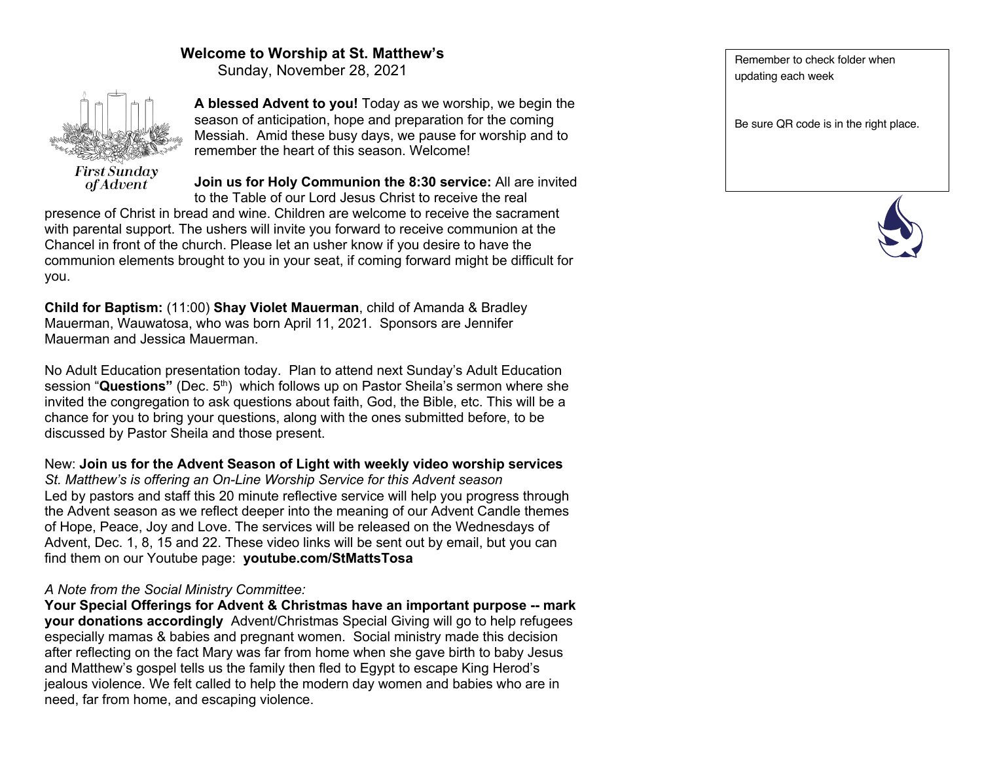# **Welcome to Worship at St. Matthew's**

Sunday, November 28, 2021



**First Sunday** *of Advent* 

**A blessed Advent to you!** Today as we worship, we begin the season of anticipation, hope and preparation for the coming Messiah. Amid these busy days, we pause for worship and to remember the heart of this season. Welcome!

**Join us for Holy Communion the 8:30 service:** All are invited to the Table of our Lord Jesus Christ to receive the real

presence of Christ in bread and wine. Children are welcome to receive the sacrament with parental support. The ushers will invite you forward to receive communion at the Chancel in front of the church. Please let an usher know if you desire to have the communion elements brought to you in your seat, if coming forward might be difficult for you.

**Child for Baptism:** (11:00) **Shay Violet Mauerman**, child of Amanda & Bradley Mauerman, Wauwatosa, who was born April 11, 2021. Sponsors are Jennifer Mauerman and Jessica Mauerman.

No Adult Education presentation today. Plan to attend next Sunday's Adult Education session "**Questions**" (Dec. 5<sup>th</sup>) which follows up on Pastor Sheila's sermon where she invited the congregation to ask questions about faith, God, the Bible, etc. This will be a chance for you to bring your questions, along with the ones submitted before, to be discussed by Pastor Sheila and those present.

New: **Join us for the Advent Season of Light with weekly video worship services** *St. Matthew's is offering an On-Line Worship Service for this Advent season* Led by pastors and staff this 20 minute reflective service will help you progress through the Advent season as we reflect deeper into the meaning of our Advent Candle themes of Hope, Peace, Joy and Love. The services will be released on the Wednesdays of Advent, Dec. 1, 8, 15 and 22. These video links will be sent out by email, but you can find them on our Youtube page: **youtube.com/StMattsTosa**

#### *A Note from the Social Ministry Committee:*

**Your Special Offerings for Advent & Christmas have an important purpose -- mark your donations accordingly** Advent/Christmas Special Giving will go to help refugees especially mamas & babies and pregnant women. Social ministry made this decision after reflecting on the fact Mary was far from home when she gave birth to baby Jesus and Matthew's gospel tells us the family then fled to Egypt to escape King Herod's jealous violence. We felt called to help the modern day women and babies who are in need, far from home, and escaping violence.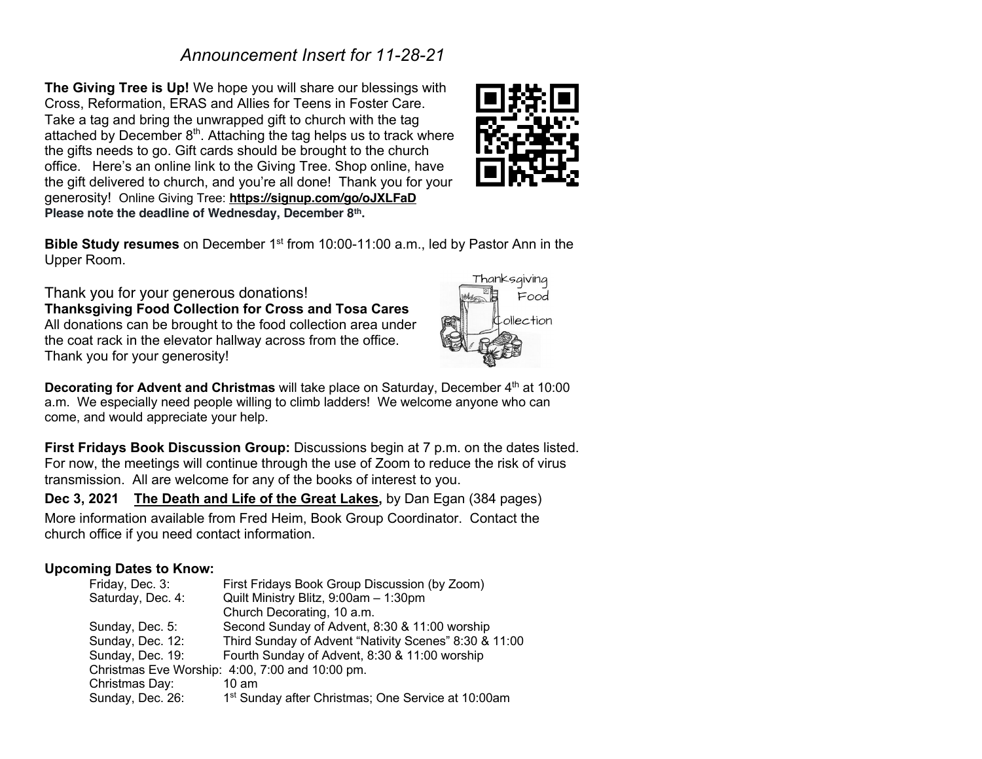# *Announcement Insert for 11-28-21*

**The Giving Tree is Up!** We hope you will share our blessings with Cross, Reformation, ERAS and Allies for Teens in Foster Care. Take a tag and bring the unwrapped gift to church with the tag attached by December  $8<sup>th</sup>$ . Attaching the tag helps us to track where the gifts needs to go. Gift cards should be brought to the church office. Here's an online link to the Giving Tree. Shop online, have the gift delivered to church, and you're all done! Thank you for your generosity! Online Giving Tree: **https://signup.com/go/oJXLFaD Please note the deadline of Wednesday, December 8th.**



Thank you for your generous donations! **Thanksgiving Food Collection for Cross and Tosa Cares** All donations can be brought to the food collection area under the coat rack in the elevator hallway across from the office. Thank you for your generosity!

**Decorating for Advent and Christmas** will take place on Saturday, December 4<sup>th</sup> at 10:00 a.m. We especially need people willing to climb ladders! We welcome anyone who can come, and would appreciate your help.

**First Fridays Book Discussion Group:** Discussions begin at 7 p.m. on the dates listed. For now, the meetings will continue through the use of Zoom to reduce the risk of virus transmission. All are welcome for any of the books of interest to you.

**Dec 3, 2021 The Death and Life of the Great Lakes,** by Dan Egan (384 pages) More information available from Fred Heim, Book Group Coordinator. Contact the church office if you need contact information.

#### **Upcoming Dates to Know:**

| Friday, Dec. 3:   | First Fridays Book Group Discussion (by Zoom)                  |
|-------------------|----------------------------------------------------------------|
| Saturday, Dec. 4: | Quilt Ministry Blitz, 9:00am - 1:30pm                          |
|                   | Church Decorating, 10 a.m.                                     |
| Sunday, Dec. 5:   | Second Sunday of Advent, 8:30 & 11:00 worship                  |
| Sunday, Dec. 12:  | Third Sunday of Advent "Nativity Scenes" 8:30 & 11:00          |
| Sunday, Dec. 19:  | Fourth Sunday of Advent, 8:30 & 11:00 worship                  |
|                   | Christmas Eve Worship: 4:00, 7:00 and 10:00 pm.                |
| Christmas Day:    | $10 \text{ am}$                                                |
| Sunday, Dec. 26:  | 1 <sup>st</sup> Sunday after Christmas; One Service at 10:00am |
|                   |                                                                |



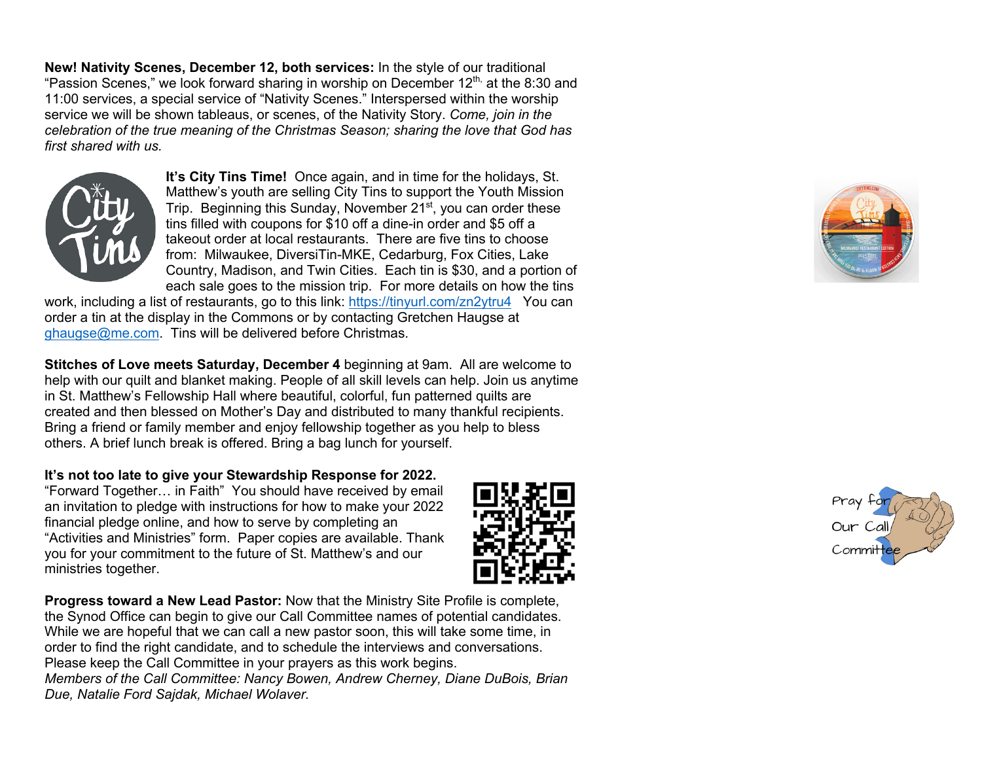**New! Nativity Scenes, December 12, both services:** In the style of our traditional "Passion Scenes," we look forward sharing in worship on December  $12<sup>th</sup>$  at the 8:30 and 11:00 services, a special service of "Nativity Scenes." Interspersed within the worship service we will be shown tableaus, or scenes, of the Nativity Story. *Come, join in the celebration of the true meaning of the Christmas Season; sharing the love that God has first shared with us.*



**It's City Tins Time!** Once again, and in time for the holidays, St. Matthew's youth are selling City Tins to support the Youth Mission Trip. Beginning this Sunday, November 21<sup>st</sup>, you can order these tins filled with coupons for \$10 off a dine-in order and \$5 off a takeout order at local restaurants. There are five tins to choose from: Milwaukee, DiversiTin-MKE, Cedarburg, Fox Cities, Lake Country, Madison, and Twin Cities. Each tin is \$30, and a portion of each sale goes to the mission trip. For more details on how the tins

work, including a list of restaurants, go to this link: https://tinyurl.com/zn2ytru4You can order a tin at the display in the Commons or by contacting Gretchen Haugse at ghaugse@me.com. Tins will be delivered before Christmas.

**Stitches of Love meets Saturday, December 4** beginning at 9am. All are welcome to help with our quilt and blanket making. People of all skill levels can help. Join us anytime in St. Matthew's Fellowship Hall where beautiful, colorful, fun patterned quilts are created and then blessed on Mother's Day and distributed to many thankful recipients. Bring a friend or family member and enjoy fellowship together as you help to bless others. A brief lunch break is offered. Bring a bag lunch for yourself.

**It's not too late to give your Stewardship Response for 2022.**

"Forward Together… in Faith" You should have received by email an invitation to pledge with instructions for how to make your 2022 financial pledge online, and how to serve by completing an "Activities and Ministries" form. Paper copies are available. Thank you for your commitment to the future of St. Matthew's and our ministries together.



**Progress toward a New Lead Pastor:** Now that the Ministry Site Profile is complete, the Synod Office can begin to give our Call Committee names of potential candidates. While we are hopeful that we can call a new pastor soon, this will take some time, in order to find the right candidate, and to schedule the interviews and conversations. Please keep the Call Committee in your prayers as this work begins. *Members of the Call Committee: Nancy Bowen, Andrew Cherney, Diane DuBois, Brian Due, Natalie Ford Sajdak, Michael Wolaver.*